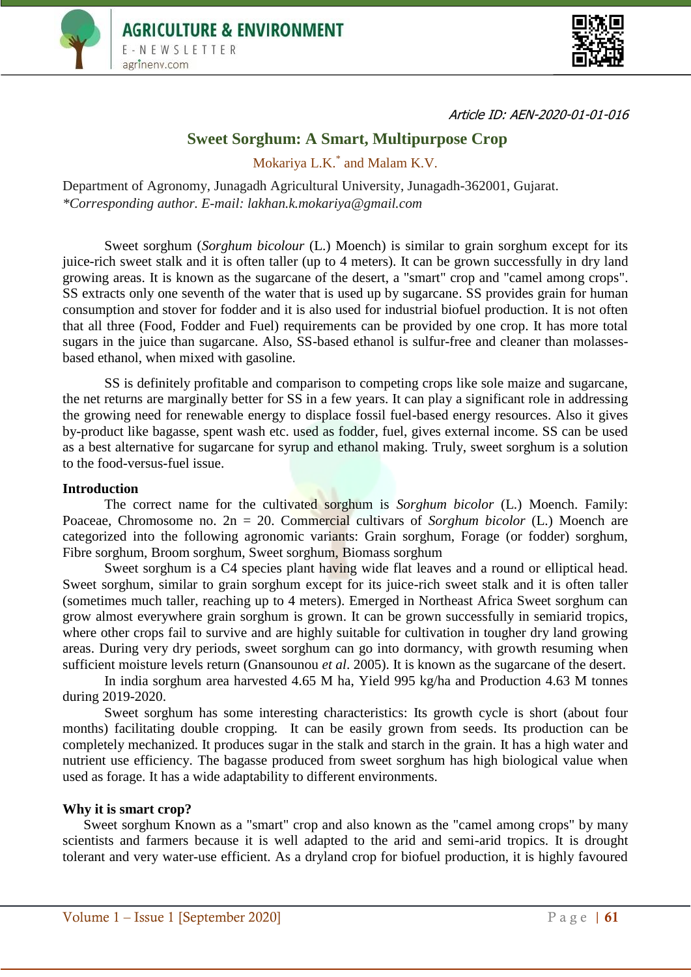



## Article ID: AEN-2020-01-01-016

# **Sweet Sorghum: A Smart, Multipurpose Crop**

Mokariya L.K.\* and Malam K.V.

Department of Agronomy, Junagadh Agricultural University, Junagadh-362001, Gujarat. *\*Corresponding author. E-mail: lakhan.k.mokariya@gmail.com*

Sweet sorghum (*Sorghum bicolour* (L.) Moench) is similar to grain sorghum except for its juice-rich sweet stalk and it is often taller (up to 4 meters). It can be grown successfully in dry land growing areas. It is known as the sugarcane of the desert, a "smart" crop and "camel among crops". SS extracts only one seventh of the water that is used up by sugarcane. SS provides grain for human consumption and stover for fodder and it is also used for industrial biofuel production. It is not often that all three (Food, Fodder and Fuel) requirements can be provided by one crop. It has more total sugars in the juice than sugarcane. Also, SS-based ethanol is sulfur-free and cleaner than molassesbased ethanol, when mixed with gasoline.

SS is definitely profitable and comparison to competing crops like sole maize and sugarcane, the net returns are marginally better for SS in a few years. It can play a significant role in addressing the growing need for renewable energy to displace fossil fuel-based energy resources. Also it gives by-product like bagasse, spent wash etc. used as fodder, fuel, gives external income. SS can be used as a best alternative for sugarcane for syrup and ethanol making. Truly, sweet sorghum is a solution to the food-versus-fuel issue.

#### **Introduction**

The correct name for the cultivated sorghum is *Sorghum bicolor* (L.) Moench. Family: Poaceae, Chromosome no. 2n = 20. Commercial cultivars of *Sorghum bicolor* (L.) Moench are categorized into the following agronomic variants: Grain sorghum, Forage (or fodder) sorghum, Fibre sorghum, Broom sorghum, Sweet sorghum, Biomass sorghum

Sweet sorghum is a C4 species plant having wide flat leaves and a round or elliptical head. Sweet sorghum, similar to grain sorghum except for its juice-rich sweet stalk and it is often taller (sometimes much taller, reaching up to 4 meters). Emerged in Northeast Africa Sweet sorghum can grow almost everywhere grain sorghum is grown. It can be grown successfully in semiarid tropics, where other crops fail to survive and are highly suitable for cultivation in tougher dry land growing areas. During very dry periods, sweet sorghum can go into dormancy, with growth resuming when sufficient moisture levels return (Gnansounou *et al*. 2005). It is known as the sugarcane of the desert.

In india sorghum area harvested 4.65 M ha, Yield 995 kg/ha and Production 4.63 M tonnes during 2019-2020.

Sweet sorghum has some interesting characteristics: Its growth cycle is short (about four months) facilitating double cropping. It can be easily grown from seeds. Its production can be completely mechanized. It produces sugar in the stalk and starch in the grain. It has a high water and nutrient use efficiency. The bagasse produced from sweet sorghum has high biological value when used as forage. It has a wide adaptability to different environments.

#### **Why it is smart crop?**

Sweet sorghum Known as a "smart" crop and also known as the "camel among crops" by many scientists and farmers because it is well adapted to the arid and semi-arid tropics. It is drought tolerant and very water-use efficient. As a dryland crop for biofuel production, it is highly favoured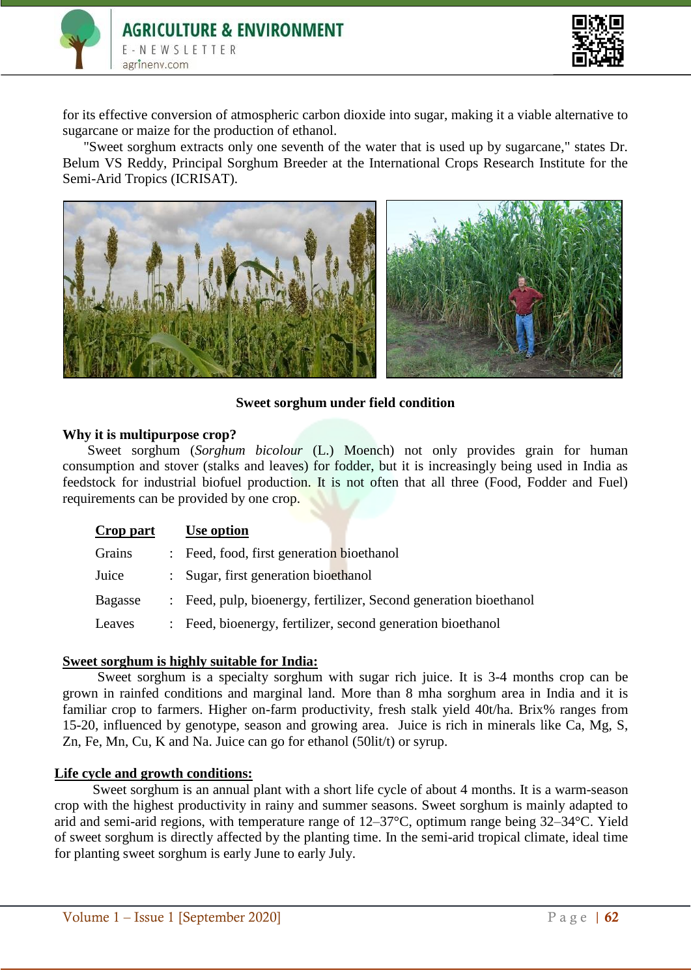



for its effective conversion of atmospheric carbon dioxide into sugar, making it a viable alternative to sugarcane or maize for the production of ethanol.

"Sweet sorghum extracts only one seventh of the water that is used up by sugarcane," states Dr. Belum VS Reddy, Principal Sorghum Breeder at the International Crops Research Institute for the Semi-Arid Tropics (ICRISAT).



#### **Sweet sorghum under field condition**

#### **Why it is multipurpose crop?**

Sweet sorghum (*Sorghum bicolour* (L.) Moench) not only provides grain for human consumption and stover (stalks and leaves) for fodder, but it is increasingly being used in India as feedstock for industrial biofuel production. It is not often that all three (Food, Fodder and Fuel) requirements can be provided by one crop.

| Crop part      | Use option                                                        |
|----------------|-------------------------------------------------------------------|
| Grains         | : Feed, food, first generation bioethanol                         |
| Juice          | : Sugar, first generation bioethanol                              |
| <b>Bagasse</b> | : Feed, pulp, bioenergy, fertilizer, Second generation bioethanol |
| Leaves         | : Feed, bioenergy, fertilizer, second generation bioethanol       |

#### **Sweet sorghum is highly suitable for India:**

 Sweet sorghum is a specialty sorghum with sugar rich juice. It is 3-4 months crop can be grown in rainfed conditions and marginal land. More than 8 mha sorghum area in India and it is familiar crop to farmers. Higher on-farm productivity, fresh stalk yield 40t/ha. Brix% ranges from 15-20, influenced by genotype, season and growing area. Juice is rich in minerals like Ca, Mg, S, Zn, Fe, Mn, Cu, K and Na. Juice can go for ethanol (50lit/t) or syrup.

#### **Life cycle and growth conditions:**

 Sweet sorghum is an annual plant with a short life cycle of about 4 months. It is a warm-season crop with the highest productivity in rainy and summer seasons. Sweet sorghum is mainly adapted to arid and semi-arid regions, with temperature range of 12–37°C, optimum range being 32–34°C. Yield of sweet sorghum is directly affected by the planting time. In the semi-arid tropical climate, ideal time for planting sweet sorghum is early June to early July.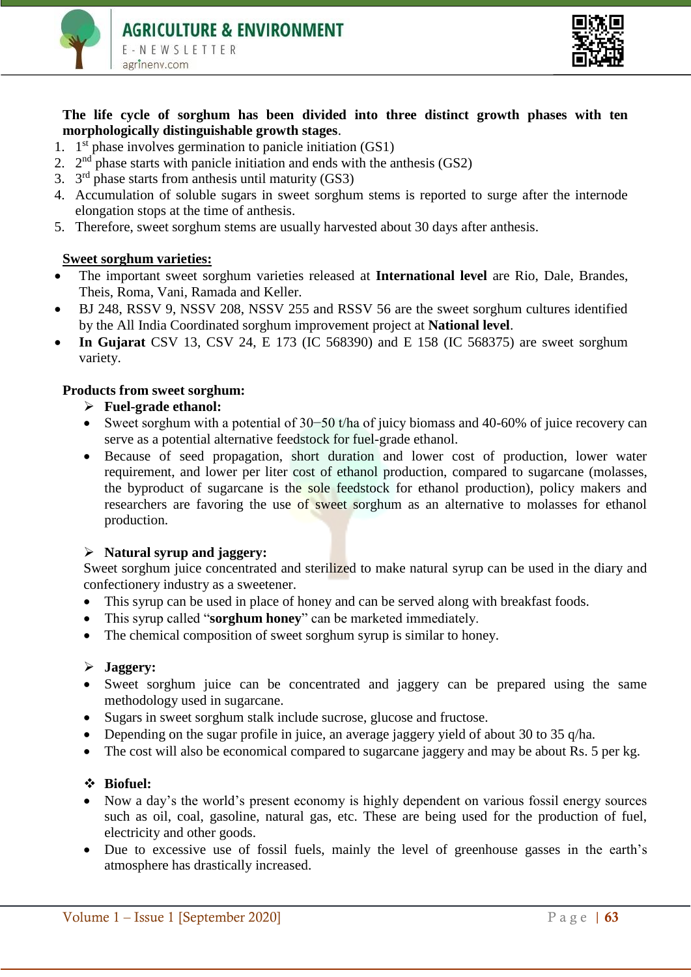



## **The life cycle of sorghum has been divided into three distinct growth phases with ten morphologically distinguishable growth stages**.

- 1. 1<sup>st</sup> phase involves germination to panicle initiation (GS1)
- 2.  $2<sup>nd</sup>$  phase starts with panicle initiation and ends with the anthesis (GS2)
- 3.  $3<sup>rd</sup>$  phase starts from anthesis until maturity (GS3)
- 4. Accumulation of soluble sugars in sweet sorghum stems is reported to surge after the internode elongation stops at the time of anthesis.
- 5. Therefore, sweet sorghum stems are usually harvested about 30 days after anthesis.

#### **Sweet sorghum varieties:**

- The important sweet sorghum varieties released at **International level** are Rio, Dale, Brandes, Theis, Roma, Vani, Ramada and Keller.
- BJ 248, RSSV 9, NSSV 208, NSSV 255 and RSSV 56 are the sweet sorghum cultures identified by the All India Coordinated sorghum improvement project at **National level**.
- **In Gujarat** CSV 13, CSV 24, E 173 (IC 568390) and E 158 (IC 568375) are sweet sorghum variety.

## **Products from sweet sorghum:**

- **Fuel-grade ethanol:**
- Sweet sorghum with a potential of 30−50 t/ha of juicy biomass and 40-60% of juice recovery can serve as a potential alternative feedstock for fuel-grade ethanol.
- Because of seed propagation, short duration and lower cost of production, lower water requirement, and lower per liter cost of ethanol production, compared to sugarcane (molasses, the byproduct of sugarcane is the sole feedstock for ethanol production), policy makers and researchers are favoring the use of sweet sorghum as an alternative to molasses for ethanol production.

## **Natural syrup and jaggery:**

Sweet sorghum juice concentrated and sterilized to make natural syrup can be used in the diary and confectionery industry as a sweetener.

- This syrup can be used in place of honey and can be served along with breakfast foods.
- This syrup called "**sorghum honey**" can be marketed immediately.
- The chemical composition of sweet sorghum syrup is similar to honey.

## **Jaggery:**

- Sweet sorghum juice can be concentrated and jaggery can be prepared using the same methodology used in sugarcane.
- Sugars in sweet sorghum stalk include sucrose, glucose and fructose.
- Depending on the sugar profile in juice, an average jaggery yield of about 30 to 35 q/ha.
- The cost will also be economical compared to sugarcane jaggery and may be about Rs. 5 per kg.

#### **Biofuel:**

- Now a day's the world's present economy is highly dependent on various fossil energy sources such as oil, coal, gasoline, natural gas, etc. These are being used for the production of fuel, electricity and other goods.
- Due to excessive use of fossil fuels, mainly the level of greenhouse gasses in the earth's atmosphere has drastically increased.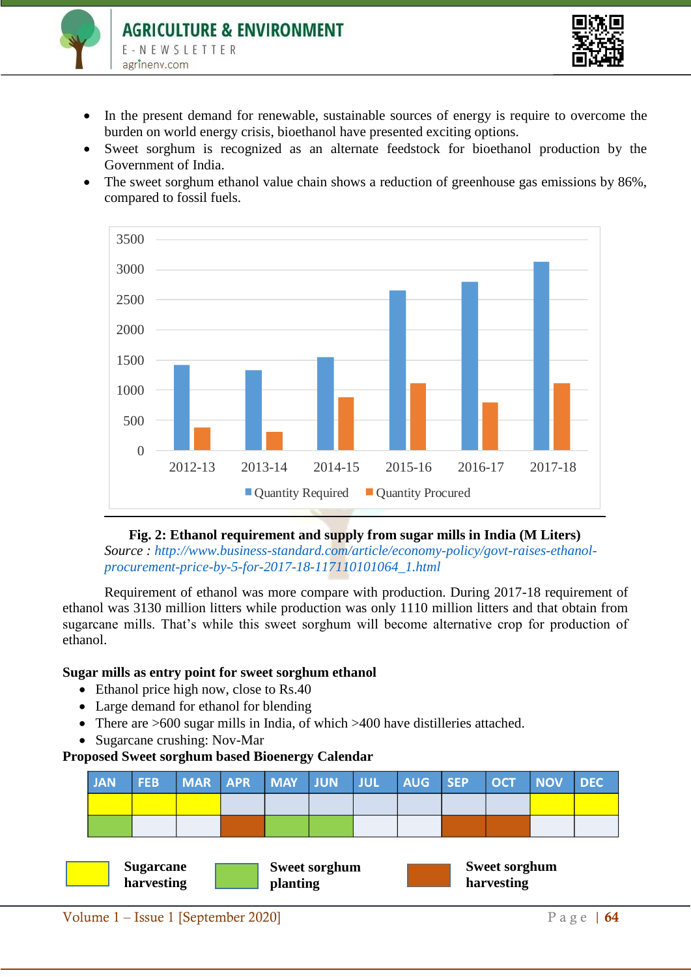# **AGRICULTURE & ENVIRONMENT** E-NEWSLETTER agrinenv.com



- In the present demand for renewable, sustainable sources of energy is require to overcome the burden on world energy crisis, bioethanol have presented exciting options.
- Sweet sorghum is recognized as an alternate feedstock for bioethanol production by the Government of India.
- The sweet sorghum ethanol value chain shows a reduction of greenhouse gas emissions by 86%, compared to fossil fuels.



## **Fig. 2: Ethanol requirement and supply from sugar mills in India (M Liters)**

*Source : [http://www.business-standard.com/article/economy-policy/govt-raises-ethanol](http://www.business-standard.com/article/economy-policy/govt-raises-ethanol-procurement-price-by-5-for-2017-18-117110101064_1.html)[procurement-price-by-5-for-2017-18-117110101064\\_1.html](http://www.business-standard.com/article/economy-policy/govt-raises-ethanol-procurement-price-by-5-for-2017-18-117110101064_1.html)*

Requirement of ethanol was more compare with production. During 2017-18 requirement of ethanol was 3130 million litters while production was only 1110 million litters and that obtain from sugarcane mills. That's while this sweet sorghum will become alternative crop for production of ethanol.

## **Sugar mills as entry point for sweet sorghum ethanol**

- Ethanol price high now, close to Rs.40
- Large demand for ethanol for blending
- There are >600 sugar mills in India, of which >400 have distilleries attached.
- Sugarcane crushing: Nov-Mar

## **Proposed Sweet sorghum based Bioenergy Calendar**

| <b>JAN</b> | <b>IFEB</b> |  |  | MAR APR MAY JUN JUL AUG SEP OCT NOV DEC |  |  |  |
|------------|-------------|--|--|-----------------------------------------|--|--|--|
|            |             |  |  |                                         |  |  |  |
|            |             |  |  |                                         |  |  |  |



**planting**



**Sweet sorghum harvesting**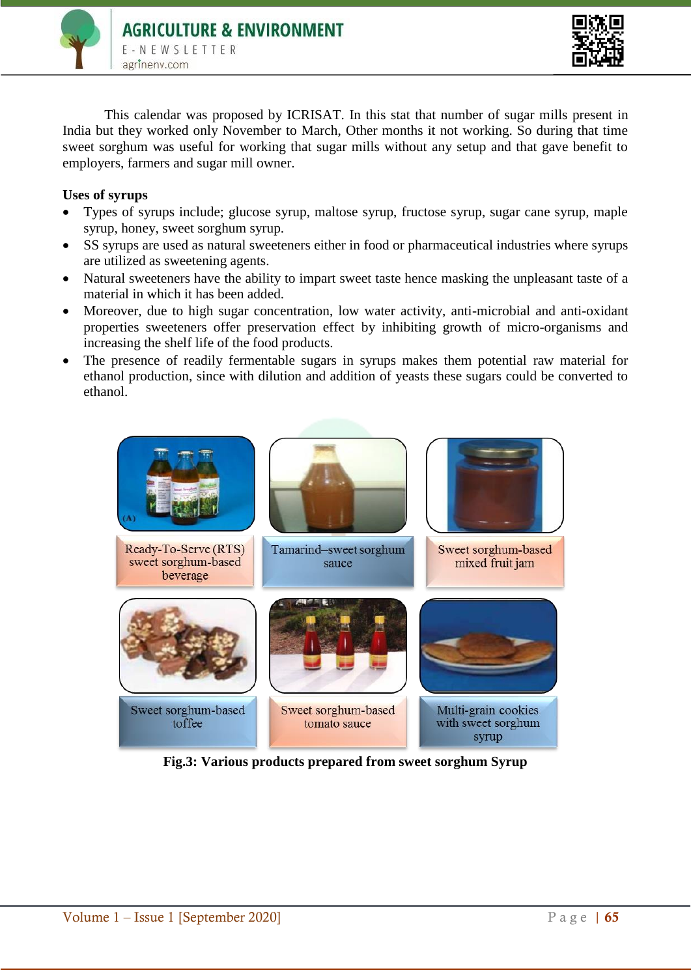



This calendar was proposed by ICRISAT. In this stat that number of sugar mills present in India but they worked only November to March, Other months it not working. So during that time sweet sorghum was useful for working that sugar mills without any setup and that gave benefit to employers, farmers and sugar mill owner.

## **Uses of syrups**

- Types of syrups include; glucose syrup, maltose syrup, fructose syrup, sugar cane syrup, maple syrup, honey, sweet sorghum syrup.
- SS syrups are used as natural sweeteners either in food or pharmaceutical industries where syrups are utilized as sweetening agents.
- Natural sweeteners have the ability to impart sweet taste hence masking the unpleasant taste of a material in which it has been added.
- Moreover, due to high sugar concentration, low water activity, anti-microbial and anti-oxidant properties sweeteners offer preservation effect by inhibiting growth of micro-organisms and increasing the shelf life of the food products.
- The presence of readily fermentable sugars in syrups makes them potential raw material for ethanol production, since with dilution and addition of yeasts these sugars could be converted to ethanol.



**Fig.3: Various products prepared from sweet sorghum Syrup**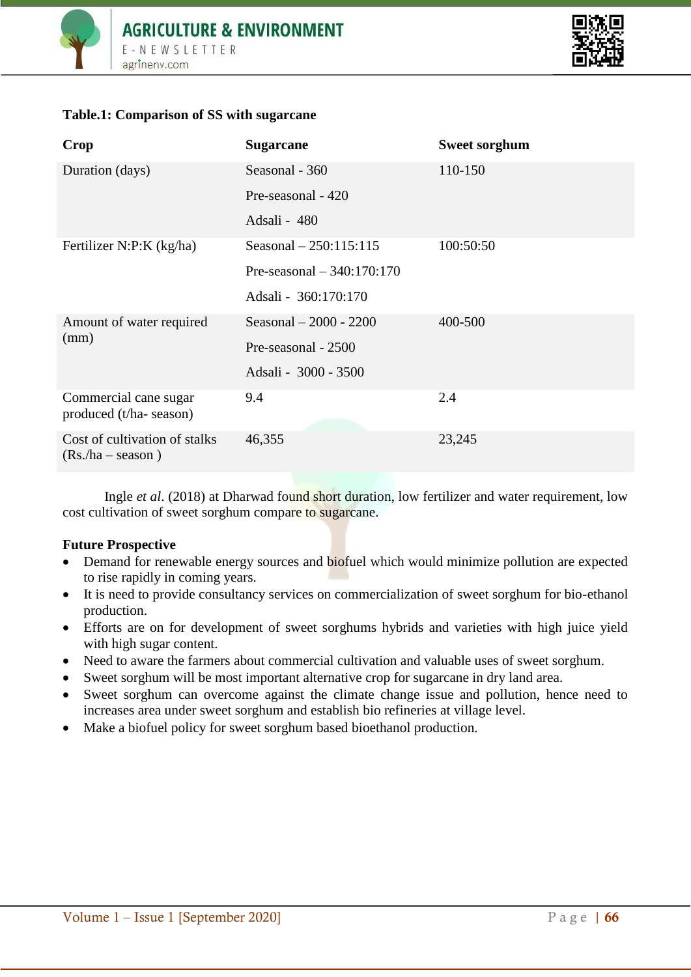### **Table.1: Comparison of SS with sugarcane**

| Crop                                                            | <b>Sugarcane</b>            | <b>Sweet sorghum</b> |
|-----------------------------------------------------------------|-----------------------------|----------------------|
| Duration (days)                                                 | Seasonal - 360              | 110-150              |
|                                                                 | Pre-seasonal - 420          |                      |
|                                                                 | Adsali - 480                |                      |
| Fertilizer N:P:K (kg/ha)                                        | Seasonal $-250:115:115$     | 100:50:50            |
|                                                                 | Pre-seasonal $-340:170:170$ |                      |
|                                                                 | Adsali - 360:170:170        |                      |
| Amount of water required                                        | Seasonal $-2000 - 2200$     | 400-500              |
| (mm)                                                            | Pre-seasonal - 2500         |                      |
|                                                                 | Adsali - 3000 - 3500        |                      |
| Commercial cane sugar<br>produced (t/ha-season)                 | 9.4                         | 2.4                  |
| Cost of cultivation of stalks<br>$(Rs/\text{ha}-\text{season})$ | 46,355                      | 23,245               |

Ingle *et al*. (2018) at Dharwad found short duration, low fertilizer and water requirement, low cost cultivation of sweet sorghum compare to sugarcane.

## **Future Prospective**

- Demand for renewable energy sources and biofuel which would minimize pollution are expected to rise rapidly in coming years.
- It is need to provide consultancy services on commercialization of sweet sorghum for bio-ethanol production.
- Efforts are on for development of sweet sorghums hybrids and varieties with high juice yield with high sugar content.
- Need to aware the farmers about commercial cultivation and valuable uses of sweet sorghum.
- Sweet sorghum will be most important alternative crop for sugarcane in dry land area.
- Sweet sorghum can overcome against the climate change issue and pollution, hence need to increases area under sweet sorghum and establish bio refineries at village level.
- Make a biofuel policy for sweet sorghum based bioethanol production.

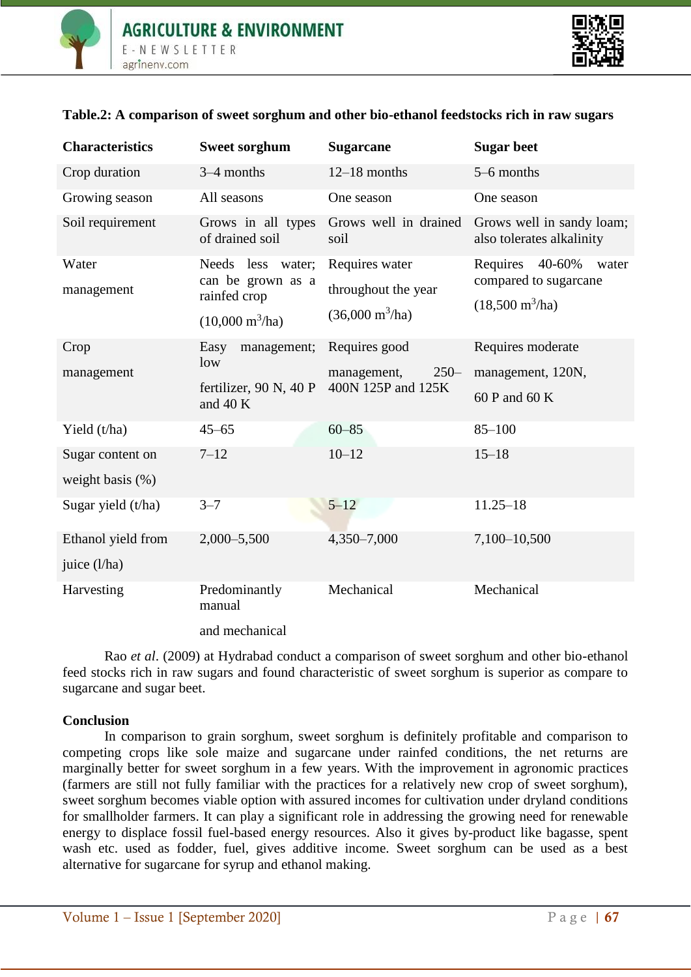

| <b>Characteristics</b>                  | <b>Sweet sorghum</b>                                                                       | <b>Sugarcane</b>                                                          | <b>Sugar beet</b>                                                                        |  |
|-----------------------------------------|--------------------------------------------------------------------------------------------|---------------------------------------------------------------------------|------------------------------------------------------------------------------------------|--|
| Crop duration                           | 3-4 months                                                                                 | $12-18$ months                                                            | 5-6 months                                                                               |  |
| Growing season                          | All seasons                                                                                | One season                                                                | One season                                                                               |  |
| Soil requirement                        | Grows in all types<br>of drained soil                                                      | Grows well in drained<br>soil                                             | Grows well in sandy loam;<br>also tolerates alkalinity                                   |  |
| Water<br>management                     | Needs less water;<br>can be grown as a<br>rainfed crop<br>$(10,000 \text{ m}^3/\text{ha})$ | Requires water<br>throughout the year<br>$(36,000 \text{ m}^3/\text{ha})$ | Requires<br>40-60%<br>water<br>compared to sugarcane<br>$(18,500 \text{ m}^3/\text{ha})$ |  |
| Crop<br>management                      | Easy<br>management;<br>low<br>fertilizer, 90 N, 40 P<br>and 40 K                           | Requires good<br>$250 -$<br>management,<br>400N 125P and 125K             | Requires moderate<br>management, 120N,<br>60 P and 60 K                                  |  |
| Yield (t/ha)                            | $45 - 65$                                                                                  | $60 - 85$                                                                 | $85 - 100$                                                                               |  |
| Sugar content on<br>weight basis $(\%)$ | $7 - 12$                                                                                   | $10 - 12$                                                                 | $15 - 18$                                                                                |  |
| Sugar yield (t/ha)                      | $3 - 7$                                                                                    | $5 - 12$                                                                  | $11.25 - 18$                                                                             |  |
| Ethanol yield from<br>juice $(l/ha)$    | 2,000-5,500                                                                                | 4,350-7,000                                                               | 7,100-10,500                                                                             |  |
| Harvesting                              | Predominantly<br>manual<br>$\mathbf{1}$ $\mathbf{1}$ $\mathbf{1}$ $\mathbf{1}$             | Mechanical                                                                | Mechanical                                                                               |  |

## **Table.2: A comparison of sweet sorghum and other bio-ethanol feedstocks rich in raw sugars**

and mechanical

Rao *et al*. (2009) at Hydrabad conduct a comparison of sweet sorghum and other bio-ethanol feed stocks rich in raw sugars and found characteristic of sweet sorghum is superior as compare to sugarcane and sugar beet.

## **Conclusion**

In comparison to grain sorghum, sweet sorghum is definitely profitable and comparison to competing crops like sole maize and sugarcane under rainfed conditions, the net returns are marginally better for sweet sorghum in a few years. With the improvement in agronomic practices (farmers are still not fully familiar with the practices for a relatively new crop of sweet sorghum), sweet sorghum becomes viable option with assured incomes for cultivation under dryland conditions for smallholder farmers. It can play a significant role in addressing the growing need for renewable energy to displace fossil fuel-based energy resources. Also it gives by-product like bagasse, spent wash etc. used as fodder, fuel, gives additive income. Sweet sorghum can be used as a best alternative for sugarcane for syrup and ethanol making.